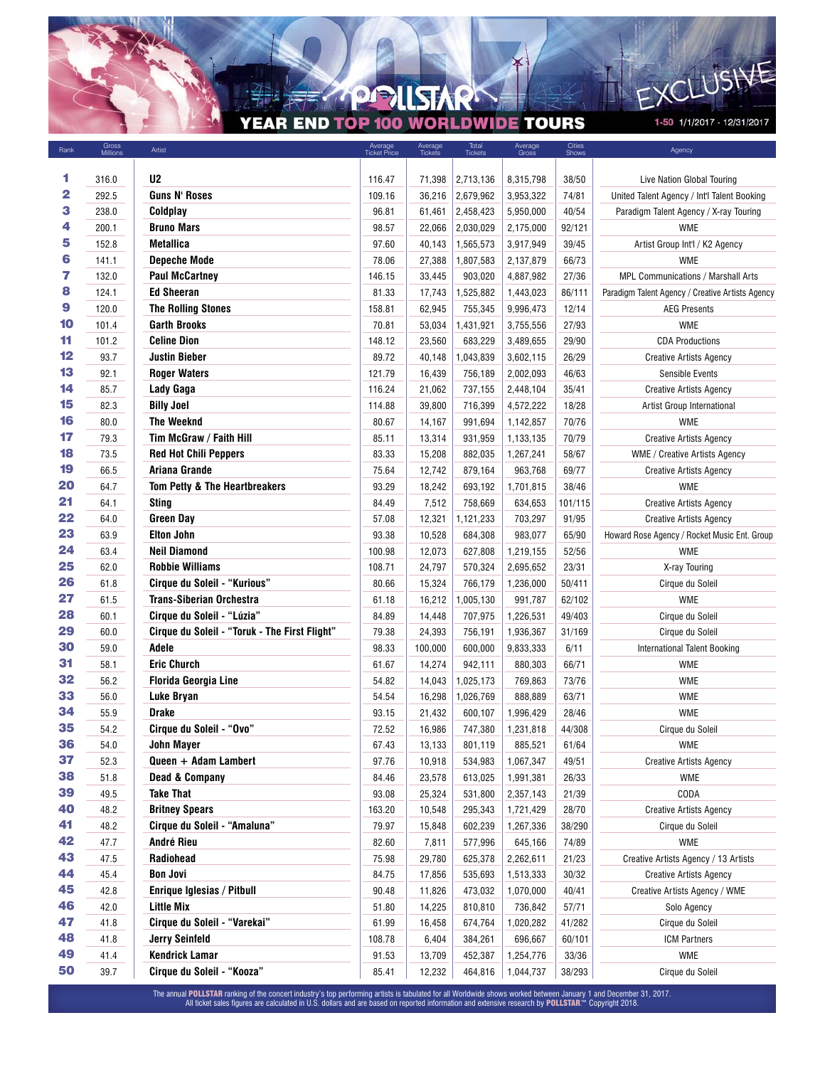## **APPLISTARK** YEAR END TOP 100 WORLDWIDE TOURS

¥

1-50 1/1/2017 - 12/31/2017

EXCLUSIVE

K

| Rank | Gross<br>Millions | Artist                                        | Average<br>Ticket Price | Average<br>Tickets | Total<br>Tickets | Average<br>Gross | Cities<br>Shows | Agency                                           |
|------|-------------------|-----------------------------------------------|-------------------------|--------------------|------------------|------------------|-----------------|--------------------------------------------------|
|      |                   |                                               |                         |                    |                  |                  |                 |                                                  |
| 1    | 316.0             | U <sub>2</sub>                                | 116.47                  | 71,398             | 2,713,136        | 8,315,798        | 38/50           | Live Nation Global Touring                       |
| 2    | 292.5             | <b>Guns N' Roses</b>                          | 109.16                  | 36,216             | 2,679,962        | 3,953,322        | 74/81           | United Talent Agency / Int'l Talent Booking      |
| 3    | 238.0             | Coldplay                                      | 96.81                   | 61,461             | 2,458,423        | 5,950,000        | 40/54           | Paradigm Talent Agency / X-ray Touring           |
| 4    | 200.1             | <b>Bruno Mars</b>                             | 98.57                   | 22,066             | 2,030,029        | 2,175,000        | 92/121          | <b>WME</b>                                       |
| 5    | 152.8             | Metallica                                     | 97.60                   | 40,143             | 1,565,573        | 3,917,949        | 39/45           | Artist Group Int'l / K2 Agency                   |
| 6    | 141.1             | <b>Depeche Mode</b>                           | 78.06                   | 27,388             | 1,807,583        | 2,137,879        | 66/73           | <b>WME</b>                                       |
| 7    | 132.0             | <b>Paul McCartney</b>                         | 146.15                  | 33,445             | 903,020          | 4,887,982        | 27/36           | MPL Communications / Marshall Arts               |
| 8    | 124.1             | <b>Ed Sheeran</b>                             | 81.33                   | 17,743             | 1,525,882        | 1,443,023        | 86/111          | Paradigm Talent Agency / Creative Artists Agency |
| 9    | 120.0             | <b>The Rolling Stones</b>                     | 158.81                  | 62,945             | 755,345          | 9,996,473        | 12/14           | <b>AEG Presents</b>                              |
| 10   | 101.4             | <b>Garth Brooks</b>                           | 70.81                   | 53,034             | 1,431,921        | 3,755,556        | 27/93           | <b>WME</b>                                       |
| 11   | 101.2             | <b>Celine Dion</b>                            | 148.12                  | 23,560             | 683,229          | 3,489,655        | 29/90           | <b>CDA Productions</b>                           |
| 12   | 93.7              | Justin Bieber                                 | 89.72                   | 40,148             | 1,043,839        | 3,602,115        | 26/29           | <b>Creative Artists Agency</b>                   |
| 13   | 92.1              | <b>Roger Waters</b>                           | 121.79                  | 16,439             | 756,189          | 2,002,093        | 46/63           | <b>Sensible Events</b>                           |
| 14   | 85.7              | Lady Gaga                                     | 116.24                  | 21,062             | 737,155          | 2,448,104        | 35/41           | <b>Creative Artists Agency</b>                   |
| 15   | 82.3              | <b>Billy Joel</b>                             | 114.88                  | 39,800             | 716,399          | 4,572,222        | 18/28           | Artist Group International                       |
| 16   | 80.0              | The Weeknd                                    | 80.67                   | 14,167             | 991,694          | 1,142,857        | 70/76           | <b>WME</b>                                       |
| 17   | 79.3              | Tim McGraw / Faith Hill                       | 85.11                   | 13,314             | 931,959          | 1,133,135        | 70/79           | <b>Creative Artists Agency</b>                   |
| 18   | 73.5              | <b>Red Hot Chili Peppers</b>                  | 83.33                   | 15,208             | 882,035          | 1,267,241        | 58/67           | WME / Creative Artists Agency                    |
| 19   | 66.5              | Ariana Grande                                 | 75.64                   | 12,742             | 879,164          | 963,768          | 69/77           | <b>Creative Artists Agency</b>                   |
| 20   | 64.7              | Tom Petty & The Heartbreakers                 | 93.29                   | 18,242             | 693,192          | 1,701,815        | 38/46           | <b>WME</b>                                       |
| 21   | 64.1              | <b>Sting</b>                                  | 84.49                   | 7,512              | 758,669          | 634,653          | 101/115         | <b>Creative Artists Agency</b>                   |
| 22   | 64.0              | <b>Green Day</b>                              | 57.08                   | 12,321             | 1,121,233        | 703,297          | 91/95           | <b>Creative Artists Agency</b>                   |
| 23   | 63.9              | <b>Elton John</b>                             | 93.38                   | 10,528             | 684,308          | 983,077          | 65/90           | Howard Rose Agency / Rocket Music Ent. Group     |
| 24   | 63.4              | <b>Neil Diamond</b>                           | 100.98                  | 12,073             | 627,808          | 1,219,155        | 52/56           | <b>WME</b>                                       |
| 25   | 62.0              | <b>Robbie Williams</b>                        | 108.71                  | 24,797             | 570,324          | 2,695,652        | 23/31           | X-ray Touring                                    |
| 26   | 61.8              | Cirque du Soleil - "Kurious"                  | 80.66                   | 15,324             | 766,179          | 1,236,000        | 50/411          | Cirque du Soleil                                 |
| 27   | 61.5              | <b>Trans-Siberian Orchestra</b>               | 61.18                   | 16,212             | 1,005,130        | 991,787          | 62/102          | <b>WME</b>                                       |
| 28   | 60.1              | Cirque du Soleil - "Lúzia"                    | 84.89                   | 14,448             | 707,975          | 1,226,531        | 49/403          | Cirque du Soleil                                 |
| 29   | 60.0              | Cirque du Soleil - "Toruk - The First Flight" | 79.38                   | 24,393             | 756,191          | 1,936,367        | 31/169          | Cirque du Soleil                                 |
| 30   | 59.0              | Adele                                         | 98.33                   | 100,000            | 600,000          | 9,833,333        | 6/11            | <b>International Talent Booking</b>              |
| 31   | 58.1              | <b>Eric Church</b>                            | 61.67                   | 14,274             | 942,111          | 880,303          | 66/71           | <b>WME</b>                                       |
| 32   | 56.2              | <b>Florida Georgia Line</b>                   | 54.82                   | 14,043             | 1,025,173        | 769,863          | 73/76           | <b>WME</b>                                       |
| 33   | 56.0              | <b>Luke Bryan</b>                             | 54.54                   | 16,298             | 1,026,769        | 888,889          | 63/71           | <b>WME</b>                                       |
| 34   | 55.9              | <b>Drake</b>                                  | 93.15                   | 21,432             | 600,107          | 1,996,429        | 28/46           | <b>WME</b>                                       |
| 35   | 54.2              | Cirque du Soleil - "Ovo"                      | 72.52                   | 16,986             | 747,380          | 1,231,818        | 44/308          | Cirque du Soleil                                 |
| 36   | 54.0              | John Mayer                                    | 67.43                   | 13.133             | 801,119          | 885,521          | 61/64           | <b>WME</b>                                       |
| 37   | 52.3              | Queen + Adam Lambert                          | 97.76                   | 10,918             | 534,983          | 1,067,347        | 49/51           | <b>Creative Artists Agency</b>                   |
| 38   | 51.8              | <b>Dead &amp; Company</b>                     | 84.46                   | 23,578             | 613,025          | 1,991,381        | 26/33           | <b>WME</b>                                       |
| 39   | 49.5              | <b>Take That</b>                              | 93.08                   | 25,324             | 531,800          | 2,357,143        | 21/39           | CODA                                             |
| 40   | 48.2              | <b>Britney Spears</b>                         | 163.20                  | 10,548             | 295,343          | 1,721,429        | 28/70           | <b>Creative Artists Agency</b>                   |
| 41   | 48.2              | Cirque du Soleil - "Amaluna"                  | 79.97                   | 15,848             | 602,239          | 1,267,336        | 38/290          | Cirque du Soleil                                 |
| 42   | 47.7              | André Rieu                                    | 82.60                   | 7,811              | 577,996          | 645,166          | 74/89           | <b>WME</b>                                       |
| 43   | 47.5              | Radiohead                                     | 75.98                   | 29,780             | 625,378          | 2,262,611        | 21/23           | Creative Artists Agency / 13 Artists             |
| 44   | 45.4              | <b>Bon Jovi</b>                               | 84.75                   | 17,856             | 535,693          | 1,513,333        | 30/32           | <b>Creative Artists Agency</b>                   |
| 45   | 42.8              | Enrique Iglesias / Pitbull                    | 90.48                   | 11,826             | 473,032          | 1,070,000        | 40/41           | Creative Artists Agency / WME                    |
| 46   | 42.0              | <b>Little Mix</b>                             | 51.80                   | 14,225             | 810,810          | 736,842          | 57/71           | Solo Agency                                      |
| 47   | 41.8              | Cirque du Soleil - "Varekai"                  | 61.99                   | 16,458             | 674,764          | 1,020,282        | 41/282          | Cirque du Soleil                                 |
| 48   | 41.8              | <b>Jerry Seinfeld</b>                         | 108.78                  | 6,404              | 384,261          | 696,667          | 60/101          | <b>ICM Partners</b>                              |
| 49   | 41.4              | <b>Kendrick Lamar</b>                         | 91.53                   | 13,709             | 452,387          | 1,254,776        | 33/36           | WME                                              |
| 50   | 39.7              | Cirque du Soleil - "Kooza"                    | 85.41                   | 12,232             | 464,816          | 1,044,737        | 38/293          | Cirque du Soleil                                 |
|      |                   |                                               |                         |                    |                  |                  |                 |                                                  |

The annual **POLLSTAR** ranking of the concert industry's top performing artists is tabulated for all Worldwide shows worked between January 1 and December 31, 2017.<br>All ticket sales figures are calculated in U.S. dollars an